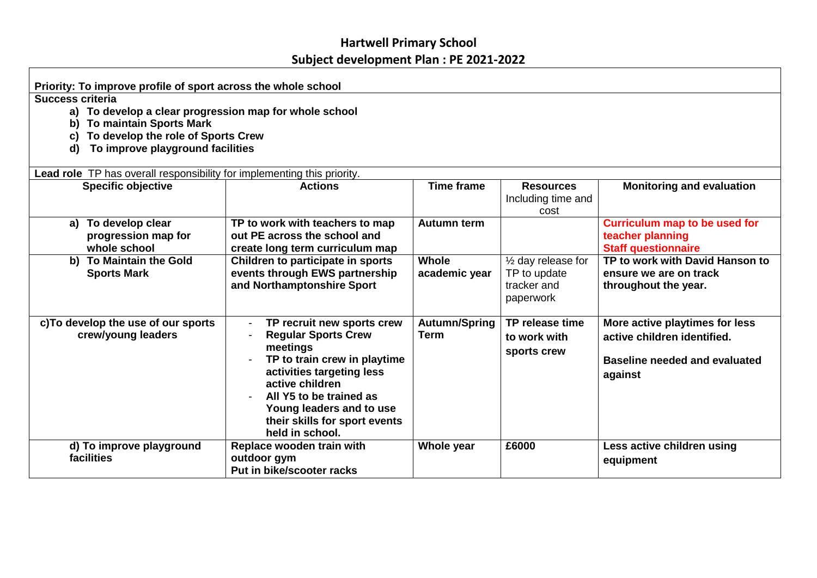## **Hartwell Primary School Subject development Plan : PE 2021-2022**

| Priority: To improve profile of sport across the whole school                                                                                                                                                   |                                                                                                                                                                                                                                                                 |                               |                                                                 |                                                                                                                  |  |  |  |
|-----------------------------------------------------------------------------------------------------------------------------------------------------------------------------------------------------------------|-----------------------------------------------------------------------------------------------------------------------------------------------------------------------------------------------------------------------------------------------------------------|-------------------------------|-----------------------------------------------------------------|------------------------------------------------------------------------------------------------------------------|--|--|--|
| <b>Success criteria</b><br>a) To develop a clear progression map for whole school<br><b>To maintain Sports Mark</b><br>b)<br>To develop the role of Sports Crew<br>C)<br>To improve playground facilities<br>d) |                                                                                                                                                                                                                                                                 |                               |                                                                 |                                                                                                                  |  |  |  |
| Lead role TP has overall responsibility for implementing this priority.<br><b>Specific objective</b>                                                                                                            | <b>Actions</b>                                                                                                                                                                                                                                                  | <b>Time frame</b>             | <b>Resources</b><br>Including time and<br>cost                  | <b>Monitoring and evaluation</b>                                                                                 |  |  |  |
| a) To develop clear<br>progression map for<br>whole school                                                                                                                                                      | TP to work with teachers to map<br>out PE across the school and<br>create long term curriculum map                                                                                                                                                              | <b>Autumn term</b>            |                                                                 | <b>Curriculum map to be used for</b><br>teacher planning<br><b>Staff questionnaire</b>                           |  |  |  |
| b) To Maintain the Gold<br><b>Sports Mark</b>                                                                                                                                                                   | Children to participate in sports<br>events through EWS partnership<br>and Northamptonshire Sport                                                                                                                                                               | <b>Whole</b><br>academic year | 1/2 day release for<br>TP to update<br>tracker and<br>paperwork | TP to work with David Hanson to<br>ensure we are on track<br>throughout the year.                                |  |  |  |
| c) To develop the use of our sports<br>crew/young leaders                                                                                                                                                       | TP recruit new sports crew<br><b>Regular Sports Crew</b><br>meetings<br>TP to train crew in playtime<br>activities targeting less<br>active children<br>All Y5 to be trained as<br>Young leaders and to use<br>their skills for sport events<br>held in school. | Autumn/Spring<br><b>Term</b>  | TP release time<br>to work with<br>sports crew                  | More active playtimes for less<br>active children identified.<br><b>Baseline needed and evaluated</b><br>against |  |  |  |
| d) To improve playground<br>facilities                                                                                                                                                                          | Replace wooden train with<br>outdoor gym<br>Put in bike/scooter racks                                                                                                                                                                                           | Whole year                    | £6000                                                           | Less active children using<br>equipment                                                                          |  |  |  |